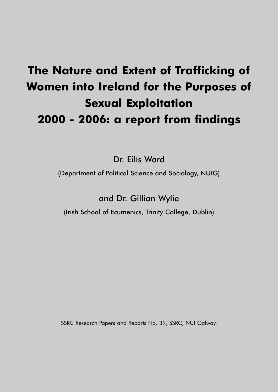# **The Nature and Extent of Trafficking of Women into Ireland for the Purposes of Sexual Exploitation 2000 - 2006: a report from findings**

Dr. Eilís Ward

(Department of Political Science and Sociology, NUIG)

and Dr. Gillian Wylie

(Irish School of Ecumenics, Trinity College, Dublin)

SSRC Research Papers and Reports No. 39, SSRC, NUI Galway.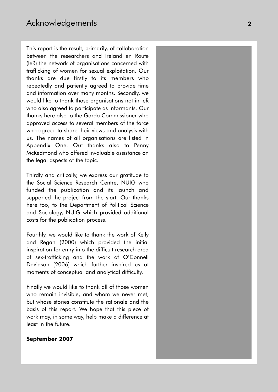This report is the result, primarily, of collaboration between the researchers and Ireland en Route (IeR) the network of organisations concerned with trafficking of women for sexual exploitation. Our thanks are due firstly to its members who repeatedly and patiently agreed to provide time and information over many months. Secondly, we would like to thank those organisations not in IeR who also agreed to participate as informants. Our thanks here also to the Garda Commissioner who approved access to several members of the force who agreed to share their views and analysis with us. The names of all organisations are listed in Appendix One. Out thanks also to Penny McRedmond who offered invaluable assistance on the legal aspects of the topic.

Thirdly and critically, we express our gratitude to the Social Science Research Centre, NUIG who funded the publication and its launch and supported the project from the start. Our thanks here too, to the Department of Political Science and Sociology, NUIG which provided additional costs for the publication process.

Fourthly, we would like to thank the work of Kelly and Regan (2000) which provided the initial inspiration for entry into the difficult research area of sex-trafficking and the work of O'Connell Davidson (2006) which further inspired us at moments of conceptual and analytical difficulty.

Finally we would like to thank all of those women who remain invisible, and whom we never met, but whose stories constitute the rationale and the basis of this report. We hope that this piece of work may, in some way, help make a difference at least in the future.

### **September 2007**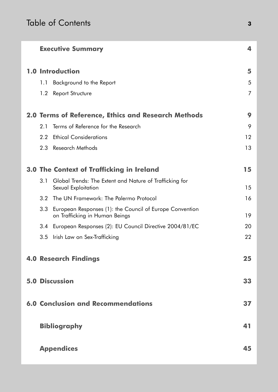|     | <b>Executive Summary</b>                                                                   | 4  |
|-----|--------------------------------------------------------------------------------------------|----|
|     | <b>1.0 Introduction</b>                                                                    | 5  |
| 1.1 | Background to the Report                                                                   | 5  |
| 1.2 | <b>Report Structure</b>                                                                    | 7  |
|     | <b>2.0 Terms of Reference, Ethics and Research Methods</b>                                 | 9  |
| 2.1 | Terms of Reference for the Research                                                        | 9  |
| 2.2 | <b>Ethical Considerations</b>                                                              | 12 |
| 2.3 | Research Methods                                                                           | 13 |
|     | <b>3.0 The Context of Trafficking in Ireland</b>                                           | 15 |
| 3.1 | Global Trends: The Extent and Nature of Trafficking for<br>Sexual Exploitation             | 15 |
| 3.2 | The UN Framework: The Palermo Protocol                                                     | 16 |
| 3.3 | European Responses (1): the Council of Europe Convention<br>on Trafficking in Human Beings | 19 |
| 3.4 | European Responses (2): EU Council Directive 2004/81/EC                                    | 20 |
| 3.5 | Irish Law on Sex-Trafficking                                                               | 22 |
|     | <b>4.0 Research Findings</b>                                                               | 25 |
|     | <b>5.0 Discussion</b>                                                                      | 33 |
|     | <b>6.0 Conclusion and Recommendations</b>                                                  | 37 |
|     | <b>Bibliography</b>                                                                        | 41 |
|     | <b>Appendices</b>                                                                          | 45 |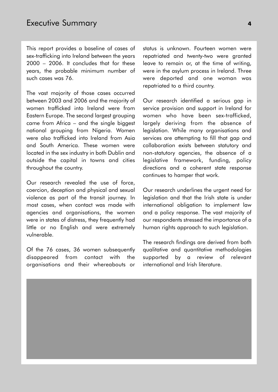This report provides a baseline of cases of sex-trafficking into Ireland between the years 2000 – 2006. It concludes that for these years, the probable minimum number of such cases was 76.

The vast majority of those cases occurred between 2003 and 2006 and the majority of women trafficked into Ireland were from Eastern Europe. The second largest grouping came from Africa – and the single biggest national grouping from Nigeria. Women were also trafficked into Ireland from Asia and South America. These women were located in the sex industry in both Dublin and outside the capital in towns and cities throughout the country.

Our research revealed the use of force, coercion, deception and physical and sexual violence as part of the transit journey. In most cases, when contact was made with agencies and organisations, the women were in states of distress, they frequently had little or no English and were extremely vulnerable.

Of the 76 cases, 36 women subsequently disappeared from contact with the organisations and their whereabouts or status is unknown. Fourteen women were repatriated and twenty-two were granted leave to remain or, at the time of writing, were in the asylum process in Ireland. Three were deported and one woman was repatriated to a third country.

Our research identified a serious gap in service provision and support in Ireland for women who have been sex-trafficked, largely deriving from the absence of legislation. While many organisations and services are attempting to fill that gap and collaboration exists between statutory and non-statutory agencies, the absence of a legislative framework, funding, policy directions and a coherent state response continues to hamper that work.

Our research underlines the urgent need for legislation and that the Irish state is under international obligation to implement law and a policy response. The vast majority of our respondents stressed the importance of a human rights approach to such legislation.

The research findings are derived from both qualitative and quantitative methodologies supported by a review of relevant international and Irish literature.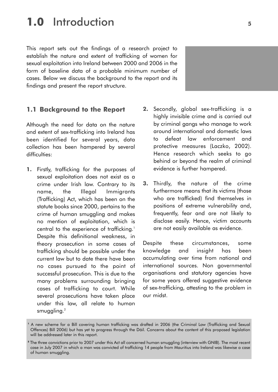### **1.0** Introduction **<sup>5</sup>**

This report sets out the findings of a research project to establish the nature and extent of trafficking of women for sexual exploitation into Ireland between 2000 and 2006 in the form of baseline data of a probable minimum number of cases. Below we discuss the background to the report and its findings and present the report structure.

### **1.1 Background to the Report**

Although the need for data on the nature and extent of sex-trafficking into Ireland has been identified for several years, data collection has been hampered by several difficulties:

- **1.** Firstly, trafficking for the purposes of sexual exploitation does not exist as a crime under Irish law. Contrary to its name, the Illegal Immigrants (Trafficking) Act, which has been on the statute books since 2000, pertains to the crime of human smuggling and makes no mention of exploitation, which is central to the experience of trafficking.<sup>1</sup> Despite this definitional weakness, in theory prosecution in some cases of trafficking should be possible under the current law but to date there have been no cases pursued to the point of successful prosecution. This is due to the many problems surrounding bringing cases of trafficking to court. While several prosecutions have taken place under this law, all relate to human smuggling. 2
- **2.** Secondly, global sex-trafficking is a highly invisible crime and is carried out by criminal gangs who manage to work around international and domestic laws to defeat law enforcement and protective measures (Laczko, 2002). Hence research which seeks to go behind or beyond the realm of criminal evidence is further hampered.
- **3.** Thirdly, the nature of the crime furthermore means that its victims (those who are trafficked) find themselves in positions of extreme vulnerability and, frequently, fear and are not likely to disclose easily. Hence, victim accounts are not easily available as evidence.

Despite these circumstances, some knowledge and insight has been accumulating over time from national and international sources. Non governmental organisations and statutory agencies have for some years offered suggestive evidence of sex-trafficking, attesting to the problem in our midst.

**<sup>1</sup>** A new scheme for a Bill covering human trafficking was drafted in 2006 (the Criminal Law (Trafficking and Sexual Offences) Bill 2006) but has yet to progress through the Dáil. Concerns about the content of this proposed legislation will be addressed later in this report.

**<sup>2</sup>** The three convictions prior to 2007 under this Act all concerned human smuggling (interview with GNIB). The most recent case in July 2007 in which a man was convicted of trafficking 14 people from Mauritius into Ireland was likewise a case of human smuggling.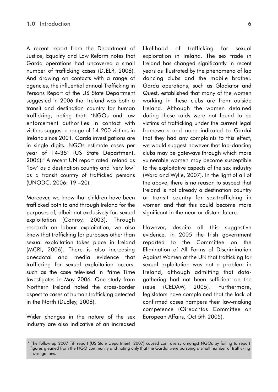A recent report from the Department of Justice, Equality and Law Reform notes that Garda operations had uncovered a small number of trafficking cases (DJELR, 2006). And drawing on contacts with a range of agencies, the influential annual Trafficking in Persons Report of the US State Department suggested in 2006 that Ireland was both a transit and destination country for human trafficking, noting that: 'NGOs and law enforcement authorities in contact with victims suggest a range of 14-200 victims in Ireland since 2001. Garda investigations are in single digits. NGOs estimate cases per year of 14-35' (US State Department, 2006).<sup>3</sup> A recent UN report rated Ireland as 'low' as a destination country and 'very low' as a transit country of trafficked persons (UNODC, 2006: 19 –20).

Moreover, we know that children have been trafficked both to and through Ireland for the purposes of, albeit not exclusively for, sexual exploitation (Conroy, 2003). Through research on labour exploitation, we also know that trafficking for purposes other than sexual exploitation takes place in Ireland (MCRI, 2006). There is also increasing anecdotal and media evidence that trafficking for sexual exploitation occurs, such as the case televised in Prime Time Investigates in May 2006. One study from Northern Ireland noted the cross-border aspect to cases of human trafficking detected in the North (Dudley, 2006).

Wider changes in the nature of the sex industry are also indicative of an increased

likelihood of trafficking for sexual exploitation in Ireland. The sex trade in Ireland has changed significantly in recent years as illustrated by the phenomena of lap dancing clubs and the mobile brothel. Garda operations, such as Gladiator and Quest, established that many of the women working in these clubs are from outside Ireland. Although the women detained during these raids were not found to be victims of trafficking under the current legal framework and none indicated to Gardai that they had any complaints to this effect, we would suggest however that lap-dancing clubs may be gateways through which more vulnerable women may become susceptible to the exploitative aspects of the sex industry (Ward and Wylie, 2007). In the light of all of the above, there is no reason to suspect that Ireland is not already a destination country or transit country for sex-trafficking in women and that this could become more significant in the near or distant future.

However, despite all this suggestive evidence, in 2005 the Irish government reported to the Committee on the Elimination of All Forms of Discrimination Against Women at the UN that trafficking for sexual exploitation was not a problem in Ireland, although admitting that datagathering had not been sufficient on the issue (CEDAW, 2005). Furthermore, legislators have complained that the lack of confirmed cases hampers their law-making competence (Oireachtas Committee on European Affairs, Oct 5th 2005).

**<sup>3</sup>** The follow-up 2007 TiP report (US State Department, 2007) caused controversy amongst NGOs by failing to report figures gleaned from the NGO community and noting only that the Gardai were pursuing a small number of trafficking investigations.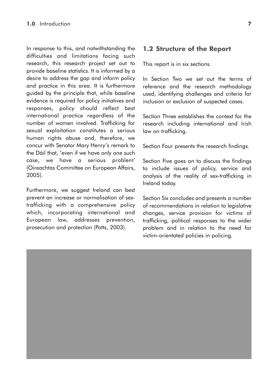In response to this, and notwithstanding the difficulties and limitations facing such research, this research project set out to provide baseline statistics. It is informed by a desire to address the gap and inform policy and practice in this area. It is furthermore guided by the principle that, while baseline evidence is required for policy initiatives and responses, policy should reflect best international practice regardless of the number of women involved. Trafficking for sexual exploitation constitutes a serious human rights abuse and, therefore, we concur with Senator Mary Henry's remark to the Dáil that, 'even if we have only one such case, we have a serious problem' (Oireachtas Committee on European Affairs, 2005).

Furthermore, we suggest Ireland can best prevent an increase or normalisation of sextrafficking with a comprehensive policy which, incorporating international and European law, addresses prevention, prosecution and protection (Potts, 2003).

### **1.2 Structure of the Report**

This report is in six sections.

In Section Two we set out the terms of reference and the research methodology used, identifying challenges and criteria for inclusion or exclusion of suspected cases.

Section Three establishes the context for the research including international and Irish law on trafficking.

Section Four presents the research findings.

Section Five goes on to discuss the findings to include issues of policy, service and analysis of the reality of sex-trafficking in Ireland today.

Section Six concludes and presents a number of recommendations in relation to legislative changes, service provision for victims of trafficking, political responses to the wider problem and in relation to the need for victim-orientated policies in policing.

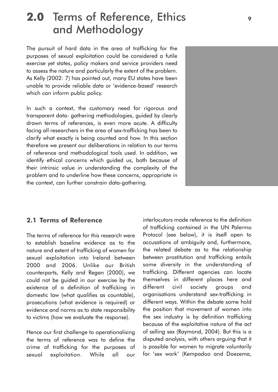### **2.0** Terms of Reference, Ethics **<sup>9</sup>** and Methodology

The pursuit of hard data in the area of trafficking for the purposes of sexual exploitation could be considered a futile exercise yet states, policy makers and service providers need to assess the nature and particularly the extent of the problem. As Kelly (2002: 7) has pointed out, many EU states have been unable to provide reliable data or 'evidence-based' research which can inform public policy.

In such a context, the customary need for rigorous and transparent data- gathering methodologies, guided by clearly drawn terms of references, is even more acute. A difficulty facing all researchers in the area of sex-trafficking has been to clarify what exactly is being counted and how. In this section therefore we present our deliberations in relation to our terms of reference and methodological tools used. In addition, we identify ethical concerns which guided us, both because of their intrinsic value in understanding the complexity of the problem and to underline how these concerns, appropriate in the context, can further constrain data-gathering.

### **2.1 Terms of Reference**

The terms of reference for this research were to establish baseline evidence as to the nature and extent of trafficking of women for sexual exploitation into Ireland between 2000 and 2006. Unlike our British counterparts, Kelly and Regan (2000), we could not be guided in our exercise by the existence of a definition of trafficking in domestic law (what qualifies as countable), prosecutions (what evidence is required) or evidence and norms as to state responsibility to victims (how we evaluate the response).

Hence our first challenge to operationalising the terms of reference was to define the crime of trafficking for the purposes of sexual exploitation. While all our interlocutors made reference to the definition of trafficking contained in the UN Palermo Protocol (see below), it is itself open to accusations of ambiguity and, furthermore, the related debate as to the relationship between prostitution and trafficking entails some diversity in the understanding of trafficking. Different agencies can locate themselves in different places here and different civil society groups and organisations understand sex-trafficking in different ways. Within the debate some hold the position that movement of women into the sex industry is by definition trafficking because of the exploitative nature of the act of selling sex (Raymond, 2004). But this is a disputed analysis, with others arguing that it is possible for women to migrate voluntarily for 'sex work' (Kempadoo and Doezema,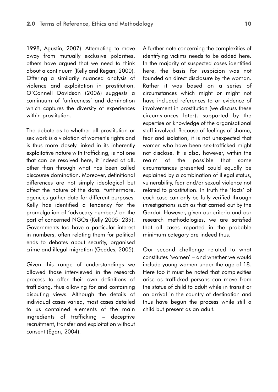1998; Agustín, 2007). Attempting to move away from mutually exclusive polarities, others have argued that we need to think about a continuum (Kelly and Regan, 2000). Offering a similarily nuanced analysis of violence and exploitation in prostitution, O'Connell Davidson (2006) suggests a continuum of 'unfreeness' and domination which captures the diversity of experiences within prostitution.

The debate as to whether all prostitution or sex work is a violation of women's rights and is thus more closely linked in its inherently exploitative nature with trafficking, is not one that can be resolved here, if indeed at all, other than through what has been called discourse domination. Moreover, definitional differences are not simply ideological but affect the nature of the data. Furthermore, agencies gather data for different purposes. Kelly has identified a tendency for the promulgation of 'advocacy numbers' on the part of concerned NGOs (Kelly 2005: 239). Governments too have a particular interest in numbers, often relating them for political ends to debates about security, organised crime and illegal migration (Geddes, 2005).

Given this range of understandings we allowed those interviewed in the research process to offer their own definitions of trafficking, thus allowing for and containing disputing views. Although the details of individual cases varied, most cases detailed to us contained elements of the main ingredients of trafficking – deceptive recruitment, transfer and exploitation without consent (Egan, 2004).

A further note concerning the complexities of identifying victims needs to be added here. In the majority of suspected cases identified here, the basis for suspicion was not founded on direct disclosure by the woman. Rather it was based on a series of circumstances which might or might not have included references to or evidence of involvement in prostitution (we discuss these circumstances later), supported by the expertise or knowledge of the organisational staff involved. Because of feelings of shame, fear and isolation, it is not unexpected that women who have been sex-trafficked might not disclose. It is also, however, within the realm of the possible that some circumstances presented could equally be explained by a combination of illegal status, vulnerability, fear and/or sexual violence not related to prostitution. In truth the 'facts' of each case can only be fully verified through investigations such as that carried out by the Gardaí. However, given our criteria and our research methodologies, we are satisfied that all cases reported in the probable minimum category are indeed thus.

Our second challenge related to what constitutes 'women' – and whether we would include young women under the age of 18. Here too it must be noted that complexities arise as trafficked persons can move from the status of child to adult while in transit or on arrival in the country of destination and thus have begun the process while still a child but present as an adult.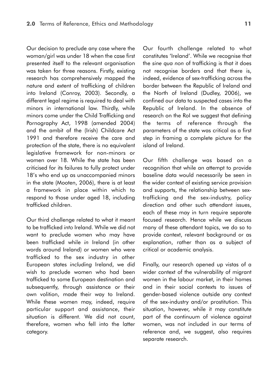Our decision to preclude any case where the woman/girl was under 18 when the case first presented itself to the relevant organisation was taken for three reasons. Firstly, existing research has comprehensively mapped the nature and extent of trafficking of children into Ireland (Conroy, 2003). Secondly, a different legal regime is required to deal with minors in international law. Thirdly, while minors come under the Child Trafficking and Pornography Act, 1998 (amended 2004) and the ambit of the (Irish) Childcare Act 1991 and therefore receive the care and protection of the state, there is no equivalent legislative framework for non-minors or women over 18. While the state has been criticised for its failures to fully protect under 18's who end up as unaccompanied minors in the state (Mooten, 2006), there is at least a framework in place within which to respond to those under aged 18, including trafficked children.

Our third challenge related to what it meant to be trafficked *into* Ireland. While we did not want to preclude women who may have been trafficked while *in* Ireland (in other words around Ireland) or women who were trafficked to the sex industry in other European states *including* Ireland, we did wish to preclude women who had been trafficked to some European destination and subsequently, through assistance or their own volition, made their way to Ireland. While these women may, indeed, require particular support and assistance, their situation is different. We did not count, therefore, women who fell into the latter category.

Our fourth challenge related to what constitutes 'Ireland'. While we recognise that the *sine qua non* of trafficking is that it does not recognise borders and that there is, indeed, evidence of sex-trafficking across the border between the Republic of Ireland and the North of Ireland (Dudley, 2006), we confined our data to suspected cases into the Republic of Ireland. In the absence of research on the RoI we suggest that defining the terms of reference through the parameters of the state was critical as a first step in framing a complete picture for the island of Ireland.

Our fifth challenge was based on a recognition that while an attempt to provide baseline data would necessarily be seen in the wider context of existing service provision and supports, the relationship between sextrafficking and the sex-industry, policy direction and other such attendant issues, each of these may in turn require separate focused research. Hence while we discuss many of these attendant topics, we do so to provide context, relevant background or as explanation, rather than as a subject of critical or academic analysis.

Finally, our research opened up vistas of a wider context of the vulnerability of migrant women in the labour market, in their homes and in their social contexts to issues of gender-based violence outside any context of the sex-industry and/or prostitution. This situation, however, while it may constitute part of the continuum of violence against women, was not included in our terms of reference and, we suggest, also requires separate research.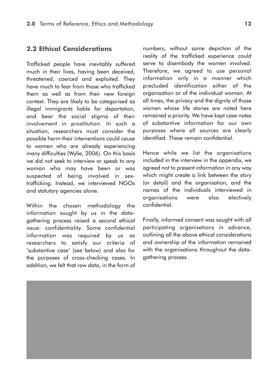### **2.2 Ethical Considerations**

Trafficked people have inevitably suffered much in their lives, having been deceived, threatened, coerced and exploited. They have much to fear from those who trafficked them as well as from their new foreign context. They are likely to be categorised as illegal immigrants liable for deportation, and bear the social stigma of their involvement in prostitution. In such a situation, researchers must consider the possible harm their interventions could cause to women who are already experiencing many difficulties (Wylie, 2006). On this basis we did not seek to interview or speak to any woman who may have been or was suspected of being involved in sextrafficking. Instead, we interviewed NGOs and statutory agencies alone.

Within the chosen methodology the information sought by us in the datagathering process raised a second ethical issue: confidentiality. Some confidential information was required by us as researchers to satisfy our criteria of 'substantive case' (see below) and also for the purposes of cross-checking cases. In addition, we felt that raw data, in the form of

numbers, without some depiction of the reality of the trafficked experience could serve to disembody the women involved. Therefore, we agreed to use personal information only in a manner which precluded identification either of the organisation or of the individual woman. At all times, the privacy and the dignity of those women whose life stories are noted here remained a priority. We have kept case notes of substantive information for our own purposes where all sources are clearly identified. These remain confidential.

Hence while we list the organisations included in the interview in the appendix, we agreed not to present information in any way which might create a link between the story (or detail) and the organisation, and the names of the individuals interviewed in organisations were also electively confidential.

Finally, informed consent was sought with all participating organisations in advance, outlining all the above ethical considerations and ownership of the information remained with the organisations throughout the datagathering process.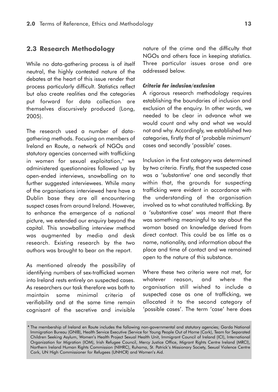### **2.3 Research Methodology**

While no data-gathering process is of itself neutral, the highly contested nature of the debates at the heart of this issue render that process particularly difficult. Statistics reflect but also create realities and the categories put forward for data collection are themselves discursively produced (Long, 2005).

The research used a number of datagathering methods. Focusing on members of Ireland en Route, a network of NGOs and statutory agencies concerned with trafficking in women for sexual exploitation,<sup>4</sup> we administered questionnaires followed up by open-ended interviews, snowballing on to further suggested interviewees. While many of the organisations interviewed here have a Dublin base they are all encountering suspect cases from around Ireland. However, to enhance the emergence of a national picture, we extended our enquiry beyond the capital. This snowballing interview method was augmented by media and desk research. Existing research by the two authors was brought to bear on the report.

As mentioned already the possibility of identifying numbers of sex-trafficked women into Ireland rests entirely on suspected cases. As researchers our task therefore was both to maintain some minimal criteria of verifiability and at the same time remain cognisant of the secretive and invisible

nature of the crime and the difficulty that NGOs and others face in keeping statistics. Three particular issues arose and are addressed below.

#### *Criteria for inclusion/exclusion*

A rigorous research methodology requires establishing the boundaries of inclusion and exclusion of the enquiry. In other words, we needed to be clear in advance what we would count and why and what we would not and why. Accordingly, we established two categories, firstly that of 'probable minimum' cases and secondly 'possible' cases.

Inclusion in the first category was determined by two criteria. Firstly, that the suspected case was a 'substantive' one and secondly that within that, the grounds for suspecting trafficking were evident in accordance with the understanding of the organisation involved as to what constituted trafficking. By a 'substantive case' was meant that there was something meaningful to say about the woman based on knowledge derived from direct contact. This could be as little as a name, nationality, and information about the place and time of contact and we remained open to the nature of this substance.

Where these two criteria were not met, for whatever reason, and where the organisation still wished to include a suspected case as one of trafficking, we allocated it to the second category of 'possible cases'. The term 'case' here does

**<sup>4</sup>** The membership of Ireland en Route includes the following non-governmental and statutory agencies; Garda National Immigration Bureau (GNIB), Health Service Executive (Service for Young People Out of Home (Cork), Team for Separated Children Seeking Asylum, Women's Health Project Sexual Health Unit, Immigrant Council of Ireland (ICI), International Organization for Migration (IOM), Irish Refugee Council, Mercy Justice Office, Migrant Rights Centre Ireland (MRCI), Northern Ireland Human Rights Commission (NIHRC), Ruhama, St. Patrick's Missionary Society, Sexual Violence Centre Cork, UN High Commissioner for Refugees (UNHCR) and Women's Aid.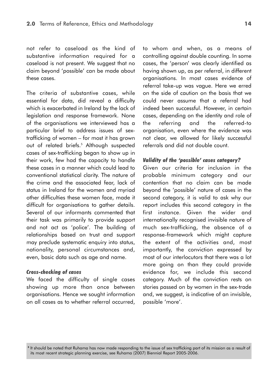not refer to caseload as the kind of substantive information required for a caseload is not present. We suggest that no claim beyond 'possible' can be made about these cases.

The criteria of substantive cases, while essential for data, did reveal a difficulty which is exacerbated in Ireland by the lack of legislation and response framework. None of the organisations we interviewed has a particular brief to address issues of sextrafficking of women – for most it has grown out of related briefs.<sup>5</sup> Although suspected cases of sex-trafficking began to show up in their work, few had the capacity to handle these cases in a manner which could lead to conventional statistical clarity. The nature of the crime and the associated fear, lack of status in Ireland for the women and myriad other difficulties these women face, made it difficult for organisations to gather details. Several of our informants commented that their task was primarily to provide support and not act as 'police'. The building of relationships based on trust and support may preclude systematic enquiry into status, nationality, personal circumstances and, even, basic data such as age and name.

#### *Cross-checking of cases*

We faced the difficulty of single cases showing up more than once between organisations. Hence we sought information on all cases as to whether referral occurred,

to whom and when, as a means of controlling against double counting. In some cases, the 'person' was clearly identified as having shown up, as per referral, in different organisations. In most cases evidence of referral take-up was vague. Here we erred on the side of caution on the basis that we could never assume that a referral had indeed been successful. However, in certain cases, depending on the identity and role of the referring and the referred-to organisation, even where the evidence was not clear, we allowed for likely successful referrals and did not double count.

### *Validity of the 'possible' cases category?*

Given our criteria for inclusion in the probable minimum category and our contention that no claim can be made beyond the 'possible' nature of cases in the second category, it is valid to ask why our report includes this second category in the first instance. Given the wider and internationally recognised invisible nature of much sex-trafficking, the absence of a response-framework which might capture the extent of the activities and, most importantly, the conviction expressed by most of our interlocutors that there was a lot more going on than they could provide evidence for, we include this second category. Much of the conviction rests on stories passed on by women in the sex-trade and, we suggest, is indicative of an invisible, possible 'more'.

**<sup>5</sup>** It should be noted that Ruhama has now made responding to the issue of sex trafficking part of its mission as a result of its most recent strategic planning exercise, see Ruhama (2007) Biennial Report 2005-2006.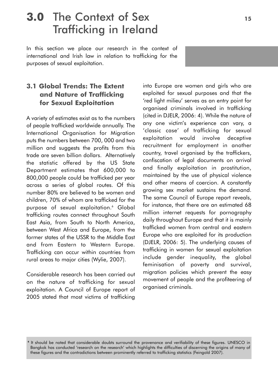## **3.0** The Context of Sex **<sup>15</sup>** Trafficking in Ireland

In this section we place our research in the context of international and Irish law in relation to trafficking for the purposes of sexual exploitation.

### **3.1 Global Trends: The Extent and Nature of Trafficking for Sexual Exploitation**

A variety of estimates exist as to the numbers of people trafficked worldwide annually. The International Organisation for Migration puts the numbers between 700, 000 and two million and suggests the profits from this trade are seven billion dollars. Alternatively the statistic offered by the US State Department estimates that 600,000 to 800,000 people could be trafficked per year across a series of global routes. Of this number 80% are believed to be women and children, 70% of whom are trafficked for the purpose of sexual exploitation.<sup>6</sup> Global trafficking routes connect throughout South East Asia, from South to North America, between West Africa and Europe, from the former states of the USSR to the Middle East and from Eastern to Western Europe. Trafficking can occur within countries from rural areas to major cities (Wylie, 2007).

Considerable research has been carried out on the nature of trafficking for sexual exploitation. A Council of Europe report of 2005 stated that most victims of trafficking

into Europe are women and girls who are exploited for sexual purposes and that the 'red light milieu' serves as an entry point for organised criminals involved in trafficking (cited in DJELR, 2006: 4). While the nature of any one victim's experience can vary, a 'classic case' of trafficking for sexual exploitation would involve deceptive recruitment for employment in another country, travel organised by the traffickers, confiscation of legal documents on arrival and finally exploitation in prostitution, maintained by the use of physical violence and other means of coercion. A constantly growing sex market sustains the demand. The same Council of Europe report reveals, for instance, that there are an estimated 68 million internet requests for pornography daily throughout Europe and that it is mainly trafficked women from central and eastern Europe who are exploited for its production (DJELR, 2006: 5). The underlying causes of trafficking in women for sexual exploitation include gender inequality, the global feminisation of poverty and survival, migration policies which prevent the easy movement of people and the profiteering of organised criminals.

**<sup>6</sup>** It should be noted that considerable doubts surround the provenance and verifiability of these figures. UNESCO in Bangkok has conducted 'research on the research' which highlights the difficulties of discerning the origins of many of these figures and the contradictions between prominently referred to trafficking statistics (Feingold 2007).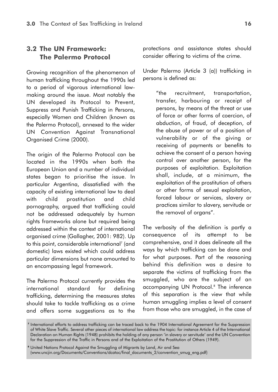### **3.2 The UN Framework: The Palermo Protocol**

Growing recognition of the phenomenon of human trafficking throughout the 1990s led to a period of vigorous international lawmaking around the issue. Most notably the UN developed its Protocol to Prevent, Suppress and Punish Trafficking in Persons, especially Women and Children (known as the Palermo Protocol), annexed to the wider UN Convention Against Transnational Organised Crime (2000).

The origin of the Palermo Protocol can be located in the 1990s when both the European Union and a number of individual states began to prioritise the issue. In particular Argentina, dissatisfied with the capacity of existing international law to deal with child prostitution and child pornography, argued that trafficking could not be addressed adequately by human rights frameworks alone but required being addressed within the context of international organised crime (Gallagher, 2001: 982). Up to this point, considerable international<sup>7</sup> (and domestic) laws existed which could address particular dimensions but none amounted to an encompassing legal framework.

The Palermo Protocol currently provides the international standard for defining trafficking, determining the measures states should take to tackle trafficking as a crime and offers some suggestions as to the

protections and assistance states should consider offering to victims of the crime.

Under Palermo (Article 3 (a)) trafficking in persons is defined as:

> "the recruitment, transportation, transfer, harbouring or receipt of persons, by means of the threat or use of force or other forms of coercion, of abduction, of fraud, of deception, of the abuse of power or of a position of vulnerability or of the giving or receiving of payments or benefits to achieve the consent of a person having control over another person, for the purposes of exploitation. Exploitation shall, include, at a minimum, the exploitation of the prostitution of others or other forms of sexual exploitation, forced labour or services, slavery or practices similar to slavery, servitude or the removal of organs".

The verbosity of the definition is partly a consequence of its attempt to be comprehensive, and it does delineate all the ways by which trafficking can be done and for what purposes. Part of the reasoning behind this definition was a desire to separate the victims of trafficking from the smuggled, who are the subject of an accompanying UN Protocol.<sup>8</sup> The inference of this separation is the view that while human smuggling implies a level of consent from those who are smuggled, in the case of

**<sup>7</sup>** International efforts to address trafficking can be traced back to the 1904 International Agreement for the Suppression of White Slave Traffic. Several other pieces of international law address the topic: for instance Article 4 of the International Declaration on Human Rights (1948) prohibits the holding of any person 'in slavery or servitude' and the UN Convention for the Suppression of the Traffic in Persons and of the Exploitation of the Prostitution of Others (1949).

**<sup>8</sup>** United Nations Protocol Against the Smuggling of Migrants by Land, Air and Sea (www.uncjin.org/Documents/Conventions/dcatoc/final\_documents\_2/convention\_smug\_eng.pdf)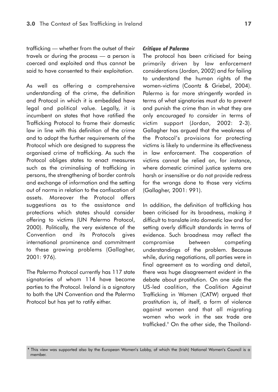trafficking — whether from the outset of their travels or during the process — a person is coerced and exploited and thus cannot be said to have consented to their exploitation.

As well as offering a comprehensive understanding of the crime, the definition and Protocol in which it is embedded have legal and political value. Legally, it is incumbent on states that have ratified the Trafficking Protocol to frame their domestic law in line with this definition of the crime and to adopt the further requirements of the Protocol which are designed to suppress the organised crime of trafficking. As such the Protocol obliges states to enact measures such as the criminalising of trafficking in persons, the strengthening of border controls and exchange of information and the setting out of norms in relation to the confiscation of assets. Moreover the Protocol offers suggestions as to the assistance and protections which states should consider offering to victims (UN Palermo Protocol, 2000). Politically, the very existence of the Convention and its Protocols gives international prominence and commitment to these growing problems (Gallagher, 2001: 976).

The Palermo Protocol currently has 117 state signatories of whom 114 have become parties to the Protocol. Ireland is a signatory to both the UN Convention and the Palermo Protocol but has yet to ratify either.

#### *Critique of Palermo*

The protocol has been criticised for being primarily driven by law enforcement considerations (Jordan, 2002) and for failing to understand the human rights of the women-victims (Coontz & Griebel, 2004). Palermo is far more stringently worded in terms of what signatories *must do* to prevent and punish the crime than in what they are only *encouraged to consider* in terms of victim support (Jordan, 2002: 2-3). Gallagher has argued that the weakness of the Protocol's provisions for protecting victims is likely to undermine its effectiveness in law enforcement. The cooperation of victims cannot be relied on, for instance, where domestic criminal justice systems are harsh or insensitive or do not provide redress for the wrongs done to those very victims (Gallagher, 2001: 991).

In addition, the definition of trafficking has been criticised for its broadness, making it difficult to translate into domestic law and for setting overly difficult standards in terms of evidence. Such broadness may reflect the compromise between competing understandings of the problem. Because while, during negotiations, all parties were in final agreement as to wording and detail, there was huge disagreement evident in the debate about prostitution. On one side the US-led coalition, the Coalition Against Trafficking in Women (CATW) argued that prostitution is, of itself, a form of violence against women and that all migrating women who work in the sex trade are trafficked.9 On the other side, the Thailand-

**<sup>9</sup>** This view was supported also by the European Women's Lobby, of which the (Irish) National Women's Council is a member.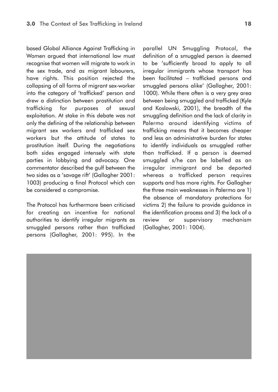based Global Alliance Against Trafficking in Women argued that international law must recognise that women will migrate to work in the sex trade, and as migrant labourers, have rights. This position rejected the collapsing of all forms of migrant sex-worker into the category of 'trafficked' person and drew a distinction between prostitution and trafficking for purposes of sexual exploitation. At stake in this debate was not only the defining of the relationship between migrant sex workers and trafficked sex workers but the attitude of states to prostitution itself. During the negotiations both sides engaged intensely with state parties in lobbying and advocacy. One commentator described the gulf between the two sides as a 'savage rift' (Gallagher 2001: 1003) producing a final Protocol which can be considered a compromise.

The Protocol has furthermore been criticised for creating an incentive for national authorities to identify irregular migrants as smuggled persons rather than trafficked persons (Gallagher, 2001: 995). In the parallel UN Smuggling Protocol, the definition of a smuggled person is deemed to be 'sufficiently broad to apply to all irregular immigrants whose transport has been facilitated – trafficked persons and smuggled persons alike' (Gallagher, 2001: 1000). While there often is a very grey area between being smuggled and trafficked (Kyle and Koslowski, 2001), the breadth of the smuggling definition and the lack of clarity in Palermo around identifying victims of trafficking means that it becomes cheaper and less an administrative burden for states to identify individuals as smuggled rather than trafficked. If a person is deemed smuggled s/he can be labelled as an irregular immigrant and be deported whereas a trafficked person requires supports and has more rights. For Gallagher the three main weaknesses in Palermo are 1) the absence of mandatory protections for victims 2) the failure to provide guidance in the identification process and 3) the lack of a review or supervisory mechanism (Gallagher, 2001: 1004).

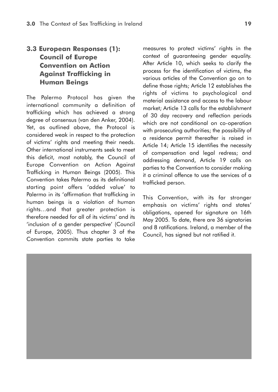### **3.3 European Responses (1): Council of Europe Convention on Action Against Trafficking in Human Beings**

The Palermo Protocol has given the international community a definition of trafficking which has achieved a strong degree of consensus (van den Anker, 2004). Yet, as outlined above, the Protocol is considered weak in respect to the protection of victims' rights and meeting their needs. Other international instruments seek to meet this deficit, most notably, the Council of Europe Convention on Action Against Trafficking in Human Beings (2005). This Convention takes Palermo as its definitional starting point offers 'added value' to Palermo in its 'affirmation that trafficking in human beings is a violation of human rights…and that greater protection is therefore needed for all of its victims' and its 'inclusion of a gender perspective' (Council of Europe, 2005). Thus chapter 3 of the Convention commits state parties to take measures to protect victims' rights in the context of guaranteeing gender equality. After Article 10, which seeks to clarify the process for the identification of victims, the various articles of the Convention go on to define those rights; Article 12 establishes the rights of victims to psychological and material assistance and access to the labour market; Article 13 calls for the establishment of 30 day recovery and reflection periods which are not conditional on co-operation with prosecuting authorities; the possibility of a residence permit thereafter is raised in Article 14; Article 15 identifies the necessity of compensation and legal redress; and addressing demand, Article 19 calls on parties to the Convention to consider making it a criminal offence to use the services of a trafficked person.

This Convention, with its far stronger emphasis on victims' rights and states' obligations, opened for signature on 16th May 2005. To date, there are 36 signatories and 8 ratifications. Ireland, a member of the Council, has signed but not ratified it.

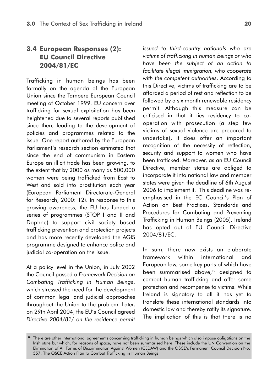### **3.4 European Responses (2): EU Council Directive 2004/81/EC**

Trafficking in human beings has been formally on the agenda of the European Union since the Tampere European Council meeting of October 1999. EU concern over trafficking for sexual exploitation has been heightened due to several reports published since then, leading to the development of policies and programmes related to the issue. One report authored by the European Parliament's research section estimated that since the end of communism in Eastern Europe an illicit trade has been growing, to the extent that by 2000 as many as 500,000 women were being trafficked from East to West and sold into prostitution each year (European Parliament Directorate-General for Research, 2000: 12). In response to this growing awareness, the EU has funded a series of programmes (STOP I and II and Daphne) to support civil society based trafficking prevention and protection projects and has more recently developed the AGIS programme designed to enhance police and judicial co-operation on the issue.

At a policy level in the Union, in July 2002 the Council passed a *Framework Decision on Combating Trafficking in Human Beings*, which stressed the need for the development of common legal and judicial approaches throughout the Union to the problem. Later, on 29th April 2004, the EU's Council agreed *Directive 2004/81/ on the residence permit* *issued to third-country nationals who are victims of trafficking in human beings or who have been the subject of an action to facilitate illegal immigration, who cooperate with the competent authorities*. According to this Directive, victims of trafficking are to be afforded a period of rest and reflection to be followed by a six month renewable residency permit. Although this measure can be criticised in that it ties residency to cooperation with prosecution (a step few victims of sexual violence are prepared to undertake), it does offer an important recognition of the necessity of reflection, security and support to women who have been trafficked. Moreover, as an EU Council Directive, member states are obliged to incorporate it into national law and member states were given the deadline of 6th August 2006 to implement it. This deadline was reemphasised in the EC Council's Plan of Action on Best Practices, Standards and Procedures for Combating and Preventing Trafficking in Human Beings (2005). Ireland has opted out of EU Council Directive 2004/81/EC.

In sum, there now exists an elaborate framework within international and European law, some key parts of which have been summarised above,<sup>10</sup> designed to combat human trafficking and offer some protection and recompense to victims. While Ireland is signatory to all it has yet to translate these international standards into domestic law and thereby ratify its signature. The implication of this is that there is no

<sup>&</sup>lt;sup>10</sup> There are other international agreements concerning trafficking in human beings which also impose obligations on the Irish state but which, for reasons of space, have not been summarised here. These include the UN Convention on the Elimination of All Forms of Discrimination Against Women (CEDAW) and the OSCE's Permanent Council Decision No. 557: The OSCE Action Plan to Combat Trafficking in Human Beings.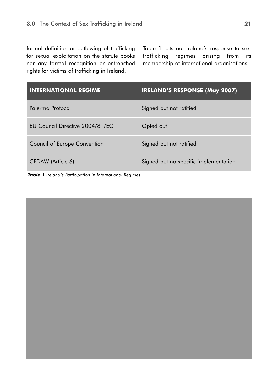formal definition or outlawing of trafficking for sexual exploitation on the statute books nor any formal recognition or entrenched rights for victims of trafficking in Ireland.

Table 1 sets out Ireland's response to sextrafficking regimes arising from its membership of international organisations.

| <b>INTERNATIONAL REGIME</b>     | <b>IRELAND'S RESPONSE (May 2007)</b>  |
|---------------------------------|---------------------------------------|
| Palermo Protocol                | Signed but not ratified               |
| EU Council Directive 2004/81/EC | Opted out                             |
| Council of Europe Convention    | Signed but not ratified               |
| CEDAW (Article 6)               | Signed but no specific implementation |

*Table 1 Ireland's Participation in International Regimes*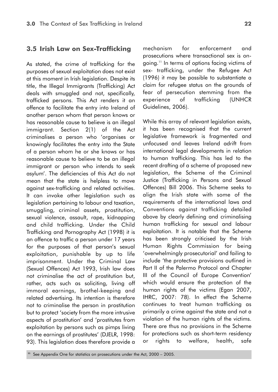### **3.5 Irish Law on Sex-Trafficking**

As stated, the crime of trafficking for the purposes of sexual exploitation does not exist at this moment in Irish legislation. Despite its title, the Illegal Immigrants (Trafficking) Act deals with smuggled and not, specifically, trafficked persons. This Act renders it an offence to facilitate the entry into Ireland of another person whom that person knows or has reasonable cause to believe is an illegal immigrant. Section 2(1) of the Act criminalises a person who 'organises or knowingly facilitates the entry into the State of a person whom he or she knows or has reasonable cause to believe to be an illegal immigrant or person who intends to seek asylum'. The deficiencies of this Act do not mean that the state is helpless to move against sex-trafficking and related activities. It can invoke other legislation such as legislation pertaining to labour and taxation, smuggling, criminal assets, prostitution, sexual violence, assault, rape, kidnapping and child trafficking. Under the Child Trafficking and Pornography Act (1998) it is an offence to traffic a person under 17 years for the purposes of that person's sexual exploitation, punishable by up to life imprisonment. Under the Criminal Law (Sexual Offences) Act 1993, Irish law does not criminalise the act of prostitution but, rather, acts such as soliciting, living off immoral earnings, brothel-keeping and related advertising. Its intention is therefore not to criminalise the person in prostitution but to protect 'society from the more intrusive aspects of prostitution' and 'prostitutes from exploitation by persons such as pimps living on the earnings of prostitutes' (DJELR, 1998: 93). This legislation does therefore provide a

mechanism for enforcement and prosecutions where transactional sex is ongoing.11 In terms of options facing victims of sex- trafficking, under the Refugee Act (1996) it may be possible to substantiate a claim for refugee status on the grounds of fear of persecution stemming from the experience of trafficking (UNHCR Guidelines, 2006).

While this array of relevant legislation exists, it has been recognised that the current legislative framework is fragmented and unfocused and leaves Ireland adrift from international legal developments in relation to human trafficking. This has led to the recent drafting of a scheme of proposed new legislation, the Scheme of the Criminal Justice (Trafficking in Persons and Sexual Offences) Bill 2006. This Scheme seeks to align the Irish state with some of the requirements of the international laws and Conventions against trafficking detailed above by clearly defining and criminalising human trafficking for sexual and labour exploitation. It is notable that the Scheme has been strongly criticised by the Irish Human Rights Commission for being 'overwhelmingly prosecutorial' and failing to include 'the protective provisions outlined in Part II of the Palermo Protocol and Chapter III of the Council of Europe Convention' which would ensure the protection of the human rights of the victims (Egan 2007, IHRC, 2007: 78). In effect the Scheme continues to treat human trafficking as primarily a crime against the state and not a violation of the human rights of the victims. There are thus no provisions in the Scheme for protections such as short-term residency or rights to welfare, health, safe

**<sup>11</sup>** See Appendix One for statistics on prosecutions under the Act, 2000 – 2005.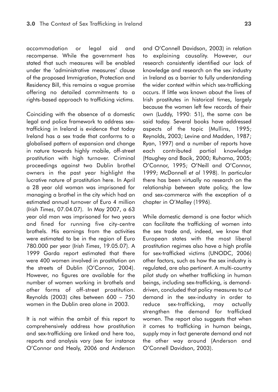accommodation or legal aid and recompense. While the government has stated that such measures will be enabled under the 'administrative measures' clause of the proposed Immigration, Protection and Residency Bill, this remains a vague promise offering no detailed commitments to a rights-based approach to trafficking victims.

Coinciding with the absence of a domestic legal and police framework to address sextrafficking in Ireland is evidence that today Ireland has a sex trade that conforms to a globalised pattern of expansion and change in nature towards highly mobile, off-street prostitution with high turnover. Criminal proceedings against two Dublin brothel owners in the past year highlight the lucrative nature of prostitution here. In April a 28 year old woman was imprisoned for managing a brothel in the city which had an estimated annual turnover of Euro 4 million (*Irish Times*, 07.04.07). In May 2007, a 63 year old man was imprisoned for two years and fined for running five city-centre brothels. His earnings from the activities were estimated to be in the region of Euro 780.000 per year (*Irish Times*, 19.05.07). A 1999 Garda report estimated that there were 400 women involved in prostitution on the streets of Dublin (O'Connor, 2004). However, no figures are available for the number of women working in brothels and other forms of off-street prostitution. Reynolds (2003) cites between 600 – 750 women in the Dublin area alone in 2003.

It is not within the ambit of this report to comprehensively address how prostitution and sex-trafficking are linked and here too, reports and analysis vary (see for instance O'Connor and Healy, 2006 and Anderson and O'Connell Davidson, 2003) in relation to explaining causality. However, our research consistently identified our lack of knowledge and research on the sex industry in Ireland as a barrier to fully understanding the wider context within which sex-trafficking occurs. If little was known about the lives of Irish prostitutes in historical times, largely because the women left few records of their own (Luddy, 1990: 51), the same can be said today. Several books have addressed aspects of the topic (Mullins, 1995; Reynolds, 2003; Levine and Madden, 1987; Ryan, 1997) and a number of reports have each contributed partial knowledge (Haughey and Bacik, 2000; Ruhama, 2005; O'Connor, 1995; O'Neill and O'Connor, 1999; McDonnell *et al* 1998). In particular there has been virtually no research on the relationship between state policy, the law and sex-commerce with the exception of a chapter in O'Malley (1996).

While domestic demand is one factor which can facilitate the trafficking of women into the sex trade and, indeed, we know that European states with the most liberal prostitution regimes also have a high profile for sex-trafficked victims (UNODC, 2006) other factors, such as how the sex industry is regulated, are also pertinent. A multi-country pilot study on whether trafficking in human beings, including sex-trafficking, is demanddriven, concluded that policy measures to cut demand in the sex-industry in order to reduce sex-trafficking, may actually strengthen the demand for trafficked women. The report also suggests that when it comes to trafficking in human beings, supply may in fact generate demand and not the other way around (Anderson and O'Connell Davidson, 2003).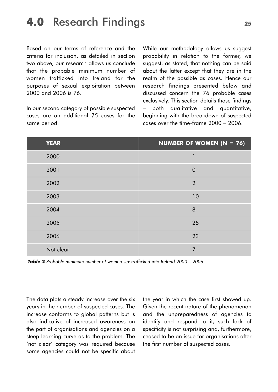### **4.0** Research Findings **<sup>25</sup>**

Based on our terms of reference and the criteria for inclusion, as detailed in section two above, our research allows us conclude that the probable minimum number of women trafficked into Ireland for the purposes of sexual exploitation between 2000 and 2006 is 76.

In our second category of possible suspected cases are an additional 75 cases for the same period.

While our methodology allows us suggest probability in relation to the former, we suggest, as stated, that nothing can be said about the latter except that they are in the realm of the possible as cases. Hence our research findings presented below and discussed concern the 76 probable cases exclusively. This section details those findings – both qualitative and quantitative, beginning with the breakdown of suspected cases over the time-frame 2000 – 2006.

| <b>YEAR</b> | <b>NUMBER OF WOMEN (N = 76)</b> |
|-------------|---------------------------------|
| 2000        | 1                               |
| 2001        | $\overline{0}$                  |
| 2002        | $\overline{2}$                  |
| 2003        | 10                              |
| 2004        | 8                               |
| 2005        | 25                              |
| 2006        | 23                              |
| Not clear   | 7                               |

*Table 2 Probable minimum number of women sex-trafficked into Ireland 2000 – 2006*

The data plots a steady increase over the six years in the number of suspected cases. The increase conforms to alobal patterns but is also indicative of increased awareness on the part of organisations and agencies on a steep learning curve as to the problem. The 'not clear' category was required because some agencies could not be specific about

the year in which the case first showed up. Given the recent nature of the phenomenon and the unpreparedness of agencies to identify and respond to it, such lack of specificity is not surprising and, furthermore, ceased to be an issue for organisations after the first number of suspected cases.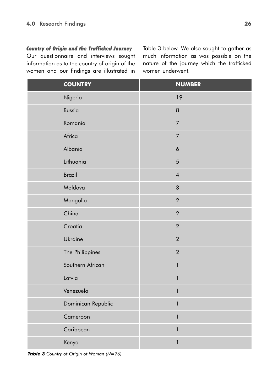### *Country of Origin and the Trafficked Journey*

Our questionnaire and interviews sought information as to the country of origin of the women and our findings are illustrated in

Table 3 below. We also sought to gather as much information as was possible on the nature of the journey which the trafficked women underwent.

| <b>COUNTRY</b>     | <b>NUMBER</b>    |
|--------------------|------------------|
| Nigeria            | 19               |
| Russia             | $\,8\,$          |
| Romania            | $\overline{7}$   |
| Africa             | $\overline{7}$   |
| Albania            | $\boldsymbol{6}$ |
| Lithuania          | 5                |
| <b>Brazil</b>      | $\overline{4}$   |
| Moldova            | $\mathfrak{S}$   |
| Mongolia           | $\overline{2}$   |
| China              | $\overline{2}$   |
| Croatia            | $\overline{2}$   |
| Ukraine            | $\overline{2}$   |
| The Philippines    | $\overline{2}$   |
| Southern African   | $\mathbf{1}$     |
| Latvia             | $\mathbf{1}$     |
| Venezuela          |                  |
| Dominican Republic | 1                |
| Cameroon           | 1                |
| Caribbean          | $\mathbf{1}$     |
| Kenya              | 1                |

*Table 3 Country of Origin of Woman (N=76)*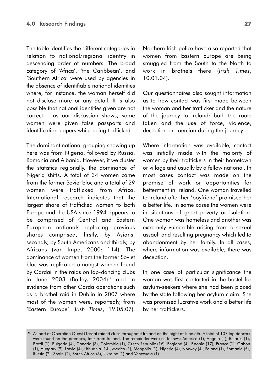The table identifies the different categories in relation to national/regional identity in descending order of numbers. The broad category of 'Africa', 'the Caribbean', and 'Southern Africa' were used by agencies in the absence of identifiable national identities where, for instance, the woman herself did not disclose more or any detail. It is also possible that national identities given are not correct – as our discussion shows, some women were given false passports and identification papers while being trafficked.

The dominant national grouping showing up here was from Nigeria, followed by Russia, Romania and Albania. However, if we cluster the statistics regionally, the dominance of Nigeria shifts. A total of 34 women came from the former Soviet bloc and a total of 29 women were trafficked from Africa. International research indicates that the largest share of trafficked women to both Europe and the USA since 1994 appears to be comprised of Central and Eastern European nationals replacing previous shares comprised, firstly, by Asians, secondly, by South Americans and thirdly, by Africans (van Impe, 2000: 114). The dominance of women from the former Soviet bloc was replicated amongst women found by Gardaí in the raids on lap-dancing clubs in June 2003 (Bailey,  $2004$ )<sup>12</sup> and in evidence from other Garda operations such as a brothel raid in Dublin in 2007 where most of the women were, reportedly, from 'Eastern Europe' (*Irish Times*, 19.05.07).

Northern Irish police have also reported that women from Eastern Europe are being smuggled from the South to the North to work in brothels there (*Irish Times*, 10.01.04).

Our questionnaires also sought information as to how contact was first made between the woman and her trafficker and the nature of the journey to Ireland: both the route taken and the use of force, violence, deception or coercion during the journey.

Where information was available, contact was initially made with the majority of women by their traffickers in their hometown or village and usually by a fellow national. In most cases contact was made on the promise of work or opportunities for betterment in Ireland. One woman travelled to Ireland after her 'boyfriend' promised her a better life. In some cases the women were in situations of great poverty or isolation. One woman was homeless and another was extremely vulnerable arising from a sexual assault and resulting pregnancy which led to abandonment by her family. In all cases, where information was available, there was deception.

In one case of particular significance the woman was first contacted in the hostel for asylum-seekers where she had been placed by the state following her asylum claim. She was promised lucrative work and a better life by her traffickers.

**<sup>12</sup>** As part of Operation Quest Gardaí raided clubs throughout Ireland on the night of June 5th. A total of 107 lap dancers were found on the premises, four from Ireland. The remainder were as follows: America (1), Angola (1), Belarus (1), Brazil (1), Bulgaria (4), Canada (3), Colombia (1), Czech Republic (16), England (4), Estonia (17), France (1), Gabon (1), Hungary (9), Latvia (4), Lithuania (14), Mexico (1), Mongolia (1), Nigeria (4), Norway (4), Poland (1), Romania (5), Russia (2), Spain (2), South Africa (3), Ukraine (1) and Venezuela (1).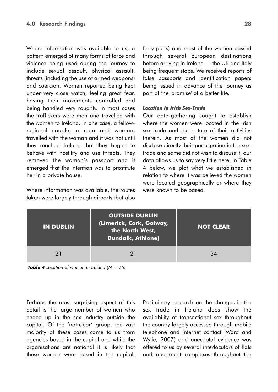Where information was available to us, a pattern emerged of many forms of force and violence being used during the journey to include sexual assault, physical assault, threats (including the use of armed weapons) and coercion. Women reported being kept under very close watch, feeling great fear, having their movements controlled and being handled very roughly. In most cases the traffickers were men and travelled with the women to Ireland. In one case, a fellownational couple, a man and woman, travelled with the woman and it was not until they reached Ireland that they began to behave with hostility and use threats. They removed the woman's passport and it emerged that the intention was to prostitute her in a private house.

Where information was available, the routes taken were largely through airports (but also ferry ports) and most of the women passed through several European destinations before arriving in Ireland — the UK and Italy being frequent stops. We received reports of false passports and identification papers being issued in advance of the journey as part of the 'promise' of a better life.

#### *Location in Irish Sex-Trade*

Our data-gathering sought to establish where the women were located in the Irish sex trade and the nature of their activities therein. As most of the women did not disclose directly their participation in the sextrade and some did not wish to discuss it, our data allows us to say very little here. In Table 4 below, we plot what we established in relation to where it was believed the women were located geographically or where they were known to be based.

| <b>IN DUBLIN</b> | <b>OUTSIDE DUBLIN</b><br>(Limerick, Cork, Galway,<br>the North West,<br><b>Dundalk, Athlone)</b> | <b>NOT CLEAR</b> |
|------------------|--------------------------------------------------------------------------------------------------|------------------|
| 21               | 21                                                                                               | 34               |



Perhaps the most surprising aspect of this detail is the large number of women who ended up in the sex industry outside the capital. Of the 'not-clear' group, the vast majority of these cases came to us from agencies based in the capital and while the organisations are national it is likely that these women were based in the capital.

Preliminary research on the changes in the sex trade in Ireland does show the availability of transactional sex throughout the country largely accessed through mobile telephone and internet contact (Ward and Wylie, 2007) and anecdotal evidence was offered to us by several interlocutors of flats and apartment complexes throughout the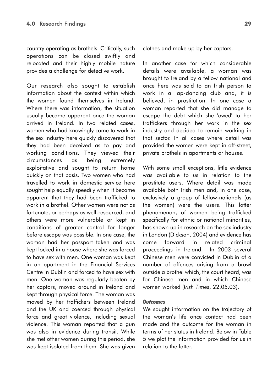country operating as brothels. Critically, such operations can be closed swiftly and relocated and their highly mobile nature provides a challenge for detective work.

Our research also sought to establish information about the context within which the women found themselves in Ireland. Where there was information, the situation usually became apparent once the woman arrived in Ireland. In two related cases, women who had knowingly come to work in the sex industry here quickly discovered that they had been deceived as to pay and working conditions. They viewed their circumstances as being extremely exploitative and sought to return home quickly on that basis. Two women who had travelled to work in domestic service here sought help equally speedily when it became apparent that they had been trafficked to work in a brothel. Other women were not as fortunate, or perhaps as well-resourced, and others were more vulnerable or kept in conditions of greater control for longer before escape was possible. In one case, the woman had her passport taken and was kept locked in a house where she was forced to have sex with men. One woman was kept in an apartment in the Financial Services Centre in Dublin and forced to have sex with men. One woman was regularly beaten by her captors, moved around in Ireland and kept through physical force. The woman was moved by her traffickers between Ireland and the UK and coerced through physical force and great violence, including sexual violence. This woman reported that a gun was also in evidence during transit. While she met other women during this period, she was kept isolated from them. She was given

clothes and make up by her captors.

In another case for which considerable details were available, a woman was brought to Ireland by a fellow national and once here was sold to an Irish person to work in a lap-dancing club and, it is believed, in prostitution. In one case a woman reported that she did manage to escape the debt which she 'owed' to her traffickers through her work in the sex industry and decided to remain working in that sector. In all cases where detail was provided the women were kept in off-street, private brothels in apartments or houses.

With some small exceptions, little evidence was available to us in relation to the prostitute users. Where detail was made available both Irish men and, in one case, exclusively a group of fellow-nationals (as the women) were the users. This latter phenomenon, of women being trafficked specifically for ethnic or national minorities, has shown up in research on the sex industry in London (Dickson, 2004) and evidence has come forward in related criminal proceedings in Ireland. In 2003 several Chinese men were convicted in Dublin of a number of offences arising from a brawl outside a brothel which, the court heard, was for Chinese men and in which Chinese women worked (*Irish Times*, 22.05.03).

#### *Outcomes*

We sought information on the trajectory of the woman's life once contact had been made and the outcome for the woman in terms of her status in Ireland. Below in Table 5 we plot the information provided for us in relation to the latter.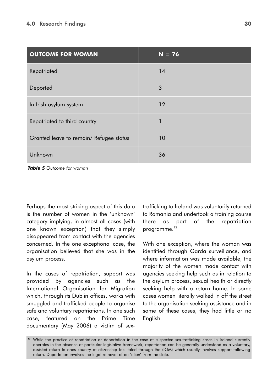| <b>OUTCOME FOR WOMAN</b>                | $N = 76$ |
|-----------------------------------------|----------|
| Repatriated                             | 14       |
| Deported                                | 3        |
| In Irish asylum system                  | 12       |
| Repatriated to third country            |          |
| Granted leave to remain/ Refugee status | 10       |
| Unknown                                 | 36       |

*Table 5 Outcome for woman*

Perhaps the most striking aspect of this data is the number of women in the 'unknown' category implying, in almost all cases (with one known exception) that they simply disappeared from contact with the agencies concerned. In the one exceptional case, the organisation believed that she was in the asylum process.

In the cases of repatriation, support was provided by agencies such as the International Organisation for Migration which, through its Dublin offices, works with smuggled and trafficked people to organise safe and voluntary repatriations. In one such case, featured on the Prime Time documentary (May 2006) a victim of sextrafficking to Ireland was voluntarily returned to Romania and undertook a training course there as part of the repatriation programme.<sup>13</sup>

With one exception, where the woman was identified through Garda surveillance, and where information was made available, the majority of the women made contact with agencies seeking help such as in relation to the asylum process, sexual health or directly seeking help with a return home. In some cases women literally walked in off the street to the organisation seeking assistance and in some of these cases, they had little or no English.

<sup>&</sup>lt;sup>13</sup> While the practice of repatriation or deportation in the case of suspected sex-trafficking cases in Ireland currently operates in the absence of particular legislative framework, repatriation can be generally understood as a voluntary, assisted return to ones country of citizenship facilitated through the (IOM) which usually involves support following return. Deportation involves the legal removal of an 'alien' from the state.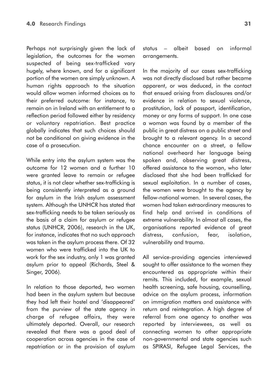Perhaps not surprisingly given the lack of legislation, the outcomes for the women suspected of being sex-trafficked vary hugely, where known, and for a significant portion of the women are simply unknown. A human rights approach to the situation would allow women informed choices as to their preferred outcome: for instance, to remain on in Ireland with an entitlement to a reflection period followed either by residency or voluntary repatriation. Best practice globally indicates that such choices should not be conditional on giving evidence in the case of a prosecution.

While entry into the asylum system was the outcome for 12 women and a further 10 were granted leave to remain or refugee status, it is not clear whether sex-trafficking is being consistently interpreted as a ground for asylum in the Irish asylum assessment system. Although the UNHCR has stated that sex-trafficking needs to be taken seriously as the basis of a claim for asylum or refugee status (UNHCR, 2006), research in the UK, for instance, indicates that no such approach was taken in the asylum process there. Of 32 women who were trafficked into the UK to work for the sex industry, only 1 was granted asylum prior to appeal (Richards, Steel & Singer, 2006).

In relation to those deported, two women had been in the asylum system but because they had left their hostel and 'disappeared' from the purview of the state agency in charge of refugee affairs, they were ultimately deported. Overall, our research revealed that there was a good deal of cooperation across agencies in the case of repatriation or in the provision of asylum status – albeit based on informal arrangements.

In the majority of our cases sex-trafficking was not directly disclosed but rather became apparent, or was deduced, in the contact that ensued arising from disclosures and/or evidence in relation to sexual violence, prostitution, lack of passport, identification, money or any forms of support. In one case a woman was found by a member of the public in great distress on a public street and brought to a relevant agency. In a second chance encounter on a street, a fellow national overheard her language being spoken and, observing great distress, offered assistance to the woman, who later disclosed that she had been trafficked for sexual exploitation. In a number of cases, the women were brought to the agency by fellow-national women. In several cases, the women had taken extraordinary measures to find help and arrived in conditions of extreme vulnerability. In almost all cases, the organisations reported evidence of great distress, confusion, fear, isolation, vulnerability and trauma.

All service-providing agencies interviewed sought to offer assistance to the women they encountered as appropriate within their remits. This included, for example, sexual health screening, safe housing, counselling, advice on the asylum process, information on immigration matters and assistance with return and reintegration. A high degree of referral from one agency to another was reported by interviewees, as well as connecting women to other appropriate non-governmental and state agencies such as SPIRASI, Refugee Legal Services, the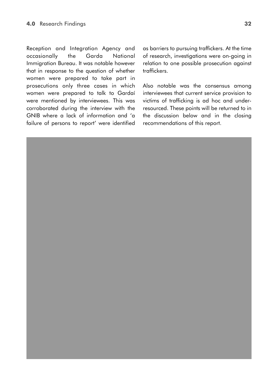Reception and Integration Agency and occasionally the Garda National Immigration Bureau. It was notable however that in response to the question of whether women were prepared to take part in prosecutions only three cases in which women were prepared to talk to Gardaí were mentioned by interviewees. This was corroborated during the interview with the GNIB where a lack of information and 'a failure of persons to report' were identified as barriers to pursuing traffickers. At the time of research, investigations were on-going in relation to one possible prosecution against traffickers.

Also notable was the consensus among interviewees that current service provision to victims of trafficking is ad hoc and underresourced. These points will be returned to in the discussion below and in the closing recommendations of this report.

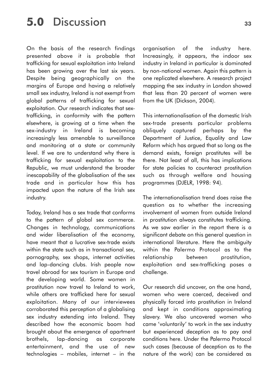## **5.0** Discussion **<sup>33</sup>**

On the basis of the research findings presented above it is probable that trafficking for sexual exploitation into Ireland has been growing over the last six years. Despite being geographically on the margins of Europe and having a relatively small sex industry, Ireland is not exempt from global patterns of trafficking for sexual exploitation. Our research indicates that sextrafficking, in conformity with the pattern elsewhere, is growing at a time when the sex-industry in Ireland is becoming increasingly less amenable to surveillance and monitoring at a state or community level. If we are to understand why there is trafficking for sexual exploitation to the Republic, we must understand the broader inescapability of the globalisation of the sex trade and in particular how this has impacted upon the nature of the Irish sex industry.

Today, Ireland has a sex trade that conforms to the pattern of global sex commerce. Changes in technology, communications and wider liberalisation of the economy, have meant that a lucrative sex-trade exists within the state such as in transactional sex, pornography, sex shops, internet activities and lap-dancing clubs. Irish people now travel abroad for sex tourism in Europe and the developing world. Some women in prostitution now travel to Ireland to work, while others are trafficked here for sexual exploitation. Many of our interviewees corroborated this perception of a globalising sex industry extending into Ireland. They described how the economic boom had brought about the emergence of apartment brothels, lap-dancing as corporate entertainment, and the use of new technologies – mobiles, internet – in the

organisation of the industry here. Increasingly, it appears, the indoor sex industry in Ireland in particular is dominated by non-national women. Again this pattern is one replicated elsewhere. A research project mapping the sex industry in London showed that less than 20 percent of women were from the UK (Dickson, 2004).

This internationalisation of the domestic Irish sex-trade presents particular problems obliquely captured perhaps by the Department of Justice, Equality and Law Reform which has argued that so long as the demand exists, foreign prostitutes will be there. Not least of all, this has implications for state policies to counteract prostitution such as through welfare and housing programmes (DJELR, 1998: 94).

The internationalisation trend does raise the question as to whether the increasing involvement of women from outside Ireland in prostitution always constitutes trafficking. As we saw earlier in the report there is a significant debate on this general question in international literature. Here the ambiguity within the Palermo Protocol as to the relationship between prostitution, exploitation and sex-trafficking poses a challenge.

Our research did uncover, on the one hand, women who were coerced, deceived and physically forced into prostitution in Ireland and kept in conditions approximating slavery. We also uncovered women who came 'voluntarily' to work in the sex industry but experienced deception as to pay and conditions here. Under the Palermo Protocol such cases (because of deception as to the nature of the work) can be considered as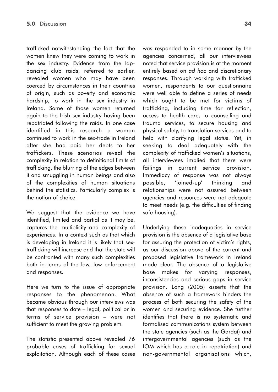trafficked notwithstanding the fact that the women knew they were coming to work in the sex industry. Evidence from the lapdancing club raids, referred to earlier, revealed women who may have been coerced by circumstances in their countries of origin, such as poverty and economic hardship, to work in the sex industry in Ireland. Some of those women returned again to the Irish sex industry having been repatriated following the raids. In one case identified in this research a woman continued to work in the sex-trade in Ireland after she had paid her debts to her traffickers. These scenarios reveal the complexity in relation to definitional limits of trafficking, the blurring of the edges between it and smuggling in human beings and also of the complexities of human situations behind the statistics. Particularly complex is the notion of choice.

We suggest that the evidence we have identified, limited and partial as it may be, captures the multiplicity and complexity of experiences. In a context such as that which is developing in Ireland it is likely that sextrafficking will increase and that the state will be confronted with many such complexities both in terms of the law, law enforcement and responses.

Here we turn to the issue of appropriate responses to the phenomenon. What became obvious through our interviews was that responses to date – legal, political or in terms of service provision – were not sufficient to meet the growing problem.

The statistic presented above revealed 76 probable cases of trafficking for sexual exploitation. Although each of these cases was responded to in some manner by the agencies concerned, all our interviewees noted that service provision is at the moment entirely based on *ad hoc* and discretionary responses. Through working with trafficked women, respondents to our questionnaire were well able to define a series of needs which ought to be met for victims of trafficking, including time for reflection, access to health care, to counselling and trauma services, to secure housing and physical safety, to translation services and to help with clarifying legal status. Yet, in seeking to deal adequately with the complexity of trafficked women's situations, all interviewees implied that there were failings in current service provision. Immediacy of response was not always possible, 'joined-up' thinking and relationships were not assured between agencies and resources were not adequate to meet needs (e.g. the difficulties of finding safe housing).

Underlying these inadequacies in service provision is the absence of a legislative base for assuring the protection of victim's rights, as our discussion above of the current and proposed legislative framework in Ireland made clear. The absence of a legislative base makes for varying responses, inconsistencies and serious gaps in service provision. Long (2005) asserts that the absence of such a framework hinders the process of both securing the safety of the women and securing evidence. She further identifies that there is no systematic and formalised communications system between the state agencies (such as the Gardaí) and intergovernmental agencies (such as the IOM which has a role in repatriation) and non-governmental organisations which,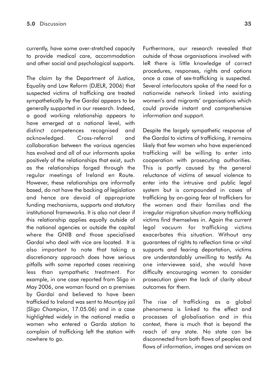currently, have some over-stretched capacity to provide medical care, accommodation and other social and psychological supports.

The claim by the Department of Justice, Equality and Law Reform (DJELR, 2006) that suspected victims of trafficking are treated sympathetically by the Gardaí appears to be generally supported in our research. Indeed, a good working relationship appears to have emerged at a national level, with distinct competences recognised and acknowledged. Cross-referral and collaboration between the various agencies has evolved and all of our informants spoke positively of the relationships that exist, such as the relationships forged through the regular meetings of Ireland en Route. However, these relationships are informally based, do not have the backing of legislation and hence are devoid of appropriate funding mechanisms, supports and statutory institutional frameworks. It is also not clear if this relationship applies equally outside of the national agencies or outside the capital where the GNIB and those specialised Gardaí who deal with vice are located. It is also important to note that taking a discretionary approach does have serious pitfalls with some reported cases receiving less than sympathetic treatment. For example, in one case reported from Sligo in May 2006, one woman found on a premises by Gardaí and believed to have been trafficked to Ireland was sent to Mountjoy jail (*Sligo Champion*, 17.05.06) and in a case highlighted widely in the national media a women who entered a Garda station to complain of trafficking left the station with nowhere to go.

Furthermore, our research revealed that outside of those organisations involved with IeR there is little knowledge of correct procedures, responses, rights and options once a case of sex-trafficking is suspected. Several interlocutors spoke of the need for a nationwide network linked into existing women's and migrants' organisations which could provide instant and comprehensive information and support.

Despite the largely sympathetic response of the Gardaí to victims of trafficking, it remains likely that few women who have experienced trafficking will be willing to enter into cooperation with prosecuting authorities. This is partly caused by the general reluctance of victims of sexual violence to enter into the intrusive and public legal system but is compounded in cases of trafficking by on-going fear of traffickers for the women and their families and the irregular migration situation many trafficking victims find themselves in. Again the current legal vacuum for trafficking victims exacerbates this situation. Without any guarantees of rights to reflection time or vital supports and fearing deportation, victims are understandably unwilling to testify. As one interviewee said, she would have difficulty encouraging women to consider prosecution given the lack of clarity about outcomes for them.

The rise of trafficking as a global phenomena is linked to the effect and processes of globalisation and in this context, there is much that is beyond the reach of any state. No state can be disconnected from both flows of peoples and flows of information, images and services on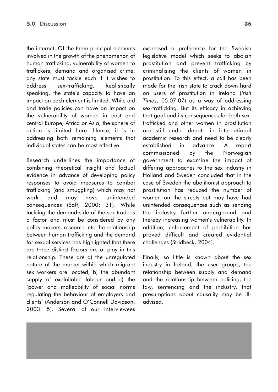the internet. Of the three principal elements involved in the growth of the phenomenon of human trafficking, vulnerability of women to traffickers, demand and organised crime, any state must tackle each if it wishes to address sex-trafficking. Realistically speaking, the state's capacity to have an impact on each element is limited. While aid and trade policies can have an impact on the vulnerability of women in east and central Europe, Africa or Asia, the sphere of action is limited here. Hence, it is in addressing both remaining elements that individual states can be most effective.

Research underlines the importance of combining theoretical insight and factual evidence in advance of developing policy responses to avoid measures to combat trafficking (and smuggling) which may not work and may have unintended consequences (Salt, 2000: 31). While tackling the demand side of the sex trade is a factor and must be considered by any policy-makers, research into the relationship between human trafficking and the demand for sexual services has highlighted that there are three distinct factors are at play in this relationship. These are a) the unregulated nature of the market within which migrant sex workers are located, b) the abundant supply of exploitable labour and c) the 'power and malleability of social norms regulating the behaviour of employers and clients' (Anderson and O'Connell Davidson, 2003: 5). Several of our interviewees

expressed a preference for the Swedish legislative model which seeks to abolish prostitution and prevent trafficking by criminalising the clients of women in prostitution. To this effect, a call has been made for the Irish state to crack down hard on users of prostitution in Ireland (*Irish Times*, 05.07.07) as a way of addressing sex-trafficking. But its efficacy in achieving that goal and its consequences for both sextrafficked and other women in prostitution are still under debate in international academic research and need to be clearly established in advance. A report commissioned by the Norwegian government to examine the impact of differing approaches to the sex industry in Holland and Sweden concluded that in the case of Sweden the abolitionist approach to prostitution has reduced the number of women on the streets but may have had unintended consequences such as sending the industry further underground and thereby increasing women's vulnerability. In addition, enforcement of prohibition has proved difficult and created evidential challenges (Stridbeck, 2004).

Finally, so little is known about the sex industry in Ireland, the user groups, the relationship between supply and demand and the relationship between policing, the law, sentencing and the industry, that presumptions about causality may be illadvised.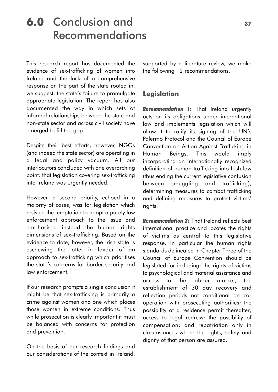## **6.0** Conclusion and **<sup>37</sup>** Recommendations

This research report has documented the evidence of sex-trafficking of women into Ireland and the lack of a comprehensive response on the part of the state rooted in, we suggest, the state's failure to promulgate appropriate legislation. The report has also documented the way in which sets of informal relationships between the state and non-state sector and across civil society have emerged to fill the gap.

Despite their best efforts, however, NGOs (and indeed the state sector) are operating in a legal and policy vacuum. All our interlocutors concluded with one overarching point: that legislation covering sex-trafficking into Ireland was urgently needed.

However, a second priority, echoed in a majority of cases, was for legislation which resisted the temptation to adopt a purely law enforcement approach to the issue and emphasised instead the human rights dimensions of sex–trafficking. Based on the evidence to date, however, the Irish state is eschewing the latter in favour of an approach to sex-trafficking which prioritises the state's concerns for border security and law enforcement.

If our research prompts a single conclusion it might be that sex-trafficking is primarily a crime against women and one which places those women in extreme conditions. Thus while prosecution is clearly important it must be balanced with concerns for protection and prevention.

On the basis of our research findings and our considerations of the context in Ireland,

supported by a literature review, we make the following 12 recommendations.

### **Legislation**

*Recommendation 1:* That Ireland urgently acts on its obligations under international law and implements legislation which will allow it to ratify its signing of the UN's Palermo Protocol and the Council of Europe Convention on Action Against Trafficking in Human Beings. This would imply incorporating an internationally recognized definition of human trafficking into Irish law (thus ending the current legislative confusion between smuggling and trafficking), determining measures to combat trafficking and defining measures to protect victims' rights.

*Recommendation 2:* That Ireland reflects best international practice and locates the rights of victims as central to this legislative response. In particular the human rights standards delineated in Chapter Three of the Council of Europe Convention should be legislated for including: the rights of victims to psychological and material assistance and access to the labour market; the establishment of 30 day recovery and reflection periods not conditional on cooperation with prosecuting authorities; the possibility of a residence permit thereafter; access to legal redress; the possibility of compensation; and repatriation only in circumstances where the rights, safety and dignity of that person are assured.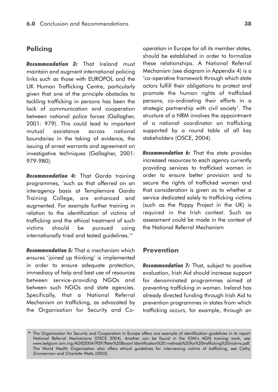### **Policing**

*Recommendation 3:* That Ireland must maintain and augment international policing links such as those with EUROPOL and the UK Human Trafficking Centre, particularly given that one of the principle obstacles to tackling trafficking in persons has been the lack of communication and cooperation between national police forces (Gallagher, 2001: 979). This could lead to important mutual assistance across national boundaries in the taking of evidence, the issuing of arrest warrants and agreement on investigative techniques (Gallagher, 2001: 979-980).

*Recommendation 4:* That Garda training programmes, 'such as that offerred on an interagency basis at Templemore Garda Training College, are enhanced and augmented. For example further training in relation to the identification of victims of trafficking and the ethical treatment of such victims should be pursued using internationally tried and tested guidelines.<sup>14</sup>

*Recommendation 5:* That a mechanism which ensures 'joined up thinking' is implemented in order to ensure adequate protection, immediacy of help and best use of resources between service-providing NGOs and between such NGOs and state agencies. Specifically, that a National Referral Mechanism on trafficking, as advocated by the Organisation for Security and Co-

operation in Europe for all its member states, should be established in order to formalize these relationships. A National Referral Mechanism (see diagram in Appendix 4) is a 'co-operative framework through which state actors fulfill their obligations to protect and promote the human rights of trafficked persons, co-ordinating their efforts in a strategic partnership with civil society'. The structure of a NRM involves the appointment of a national coordinator on trafficking supported by a round table of all key stakeholders (OSCE, 2004).

**Recommendation 6:** That the state provides increased resources to each agency currently providing services to trafficked women in order to ensure better provision and to secure the rights of trafficked women and that consideration is given as to whether a service dedicated solely to trafficking victims (such as the Poppy Project in the UK) is required in the Irish context. Such as assessment could be made in the context of the National Referral Mechanism

### **Prevention**

*Recommendation 7:* That, subject to positive evaluation, Irish Aid should increase support for denominated programmes aimed at preventing trafficking in women. Ireland has already directed funding through Irish Aid to prevention programmes in states from which trafficking occurs, for example, through an

**<sup>14</sup>** The Organization for Security and Cooperation in Europe offers one example of identification guidelines in its report National Referral Mechanisms (OSCE 2004). Another can be found in the IOM's AGIS training work, see www.belgium.iom.ing/AGIS2004/PDF/Peter%20Bryant Identification%20 methods%20for%20trafficking%20victims.pdf. The World Health Organisation also offers ethical guidelines for interviewing victims of trafficking, see Cathy Zimmerman and Charlotte Watts (2003).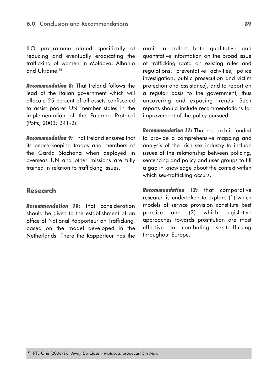ILO programme aimed specifically at reducing and eventually eradicating the trafficking of women in Moldova, Albania and Ukraine<sup>15</sup>

*Recommendation 8:* That Ireland follows the lead of the Italian government which will allocate 25 percent of all assets confiscated to assist poorer UN member states in the implementation of the Palermo Protocol (Potts, 2003: 241-2).

*Recommendation 9:* That Ireland ensures that its peace-keeping troops and members of the Garda Síochana when deployed in overseas UN and other missions are fully trained in relation to trafficking issues.

### **Research**

*Recommendation 10:* that consideration should be given to the establishment of an office of National Rapporteur on Trafficking, based on the model developed in the Netherlands. There the Rapporteur has the remit to collect both qualitative and quantitative information on the broad issue of trafficking (data on existing rules and regulations, preventative activities, police investigation, public prosecution and victim protection and assistance), and to report on a regular basis to the government, thus uncovering and exposing trends. Such reports should include recommendations for improvement of the policy pursued.

*Recommendation 11:* That research is funded to provide a comprehensive mapping and analysis of the Irish sex industry to include issues of the relationship between policing, sentencing and policy and user groups to fill a gap in knowledge about the context within which sex-trafficking occurs.

*Recommendation 12:* that comparative research is undertaken to explore (1) which models of service provision constitute best practice and (2) which legislative approaches towards prostitution are most effective in combating sex-trafficking throughout Europe.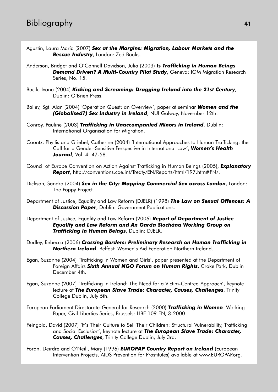- Agustín, Laura María (2007) *Sex at the Margins: Migration, Labour Markets and the Rescue Industry*, London: Zed Books.
- Anderson, Bridget and O'Connell Davidson, Julia (2003) *Is Trafficking in Human Beings Demand Driven? A Multi-Country Pilot Study*, Geneva: IOM Migration Research Series, No. 15.
- Bacik, Ivana (2004) *Kicking and Screaming: Dragging Ireland into the 21st Century*, Dublin: O'Brien Press.
- Bailey, Sgt. Alan (2004) 'Operation Quest; an Overview', paper at seminar *Women and the (Globalised?) Sex Industry in Ireland*, NUI Galway, November 12th.
- Conroy, Pauline (2003) *Trafficking in Unaccompanied Minors in Ireland*, Dublin: International Organisation for Migration.
- Coontz, Phyllis and Griebel, Catherine (2004) 'International Approaches to Human Trafficking: the Call for a Gender-Sensitive Perspective in International Law', *Women's Health Journal*, Vol. 4: 47-58.
- Council of Europe Convention on Action Against Trafficking in Human Beings (2005), *Explanatory Report*, http://conventions.coe.int/Treaty/EN/Reports/html/197.htm#FN/.
- Dickson, Sandra (2004) *Sex in the City: Mapping Commercial Sex across London*, London: The Poppy Project.
- Department of Justice, Equality and Law Reform (DJELR) (1998) *The Law on Sexual Offences: A* **Discussion Paper**, Dublin: Government Publications.
- Department of Justice, Equality and Law Reform (2006) *Report of Department of Justice Equality and Law Reform and An Garda Síochána Working Group on Trafficking in Human Beings*, Dublin: DJELR.
- Dudley, Rebecca (2006) *Crossing Borders: Preliminary Research on Human Trafficking in Northern Ireland*, Belfast: Women's Aid Federation Northern Ireland.
- Egan, Suzanne (2004) 'Trafficking in Women and Girls', paper presented at the Department of Foreign Affairs *Sixth Annual NGO Forum on Human Rights*, Croke Park, Dublin December 4th.
- Egan, Suzanne (2007) 'Trafficking in Ireland: The Need for a Victim-Centred Approach', keynote lecture at *The European Slave Trade: Character, Causes, Challenges*, Trinity College Dublin, July 5th.
- European Parliament Directorate-General for Research (2000) *Trafficking in Women*. Working Paper, Civil Liberties Series, Brussels: LIBE 109 EN, 3-2000.
- Feingold, David (2007) 'It's Their Culture to Sell Their Children: Structural Vulnerability, Trafficking and Social Exclusion', keynote lecture at *The European Slave Trade: Character, Causes, Challenges*, Trinity College Dublin, July 3rd.
- Foran, Deirdre and O'Neill, Mary (1996) *EUROPAP Country Report on Ireland* (European Intervention Projects, AIDS Prevention for Prostitutes) available at www.EUROPAP.org.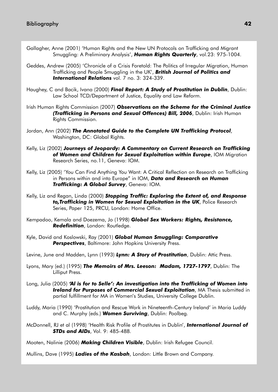- Gallagher, Anne (2001) 'Human Rights and the New UN Protocols on Trafficking and Migrant Smuggling: A Preliminary Analysis', *Human Rights Quarterly*, vol.23: 975-1004.
- Geddes, Andrew (2005) 'Chronicle of a Crisis Foretold: The Politics of Irregular Migration, Human Trafficking and People Smuggling in the UK', *British Journal of Politics and International Relations* vol. 7 no. 3: 324-339.
- Haughey, C and Bacik, Ivana (2000) *Final Report: A Study of Prostitution in Dublin*, Dublin: Law School TCD/Department of Justice, Equality and Law Reform.
- Irish Human Rights Commission (2007) *Observations on the Scheme for the Criminal Justice (Trafficking in Persons and Sexual Offences) Bill, 2006*, Dublin: Irish Human Rights Commission.
- Jordan, Ann (2002) *The Annotated Guide to the Complete UN Trafficking Protocol*, Washington, DC: Global Rights.
- Kelly, Liz (2002) *Journeys of Jeopardy: A Commentary on Current Research on Trafficking of Women and Children for Sexual Exploitation within Europe*, IOM Migration Research Series, no.11, Geneva: IOM.
- Kelly, Liz (2005) 'You Can Find Anything You Want: A Critical Reflection on Research on Trafficking in Persons within and into Europe" in IOM, *Data and Research on Human Trafficking: A Global Survey*, Geneva: IOM.
- Kelly, Liz and Regan, Linda (2000) *Stopping Traffic: Exploring the Extent of, and Response to,Trafficking in Women for Sexual Exploitation in the UK*, Police Research Series, Paper 125, PRCU, London: Home Office.
- Kempadoo, Kemala and Doezema, Jo (1998) *Global Sex Workers: Rights, Resistance, Redefinition*, London: Routledge.
- Kyle, David and Koslowski, Ray (2001) *Global Human Smuggling: Comparative Perspectives*, Baltimore: John Hopkins University Press.

Levine, June and Madden, Lynn (1993) *Lynn: A Story of Prostitution*, Dublin: Attic Press.

- Lyons, Mary (ed.) (1995) *The Memoirs of Mrs. Leeson: Madam, 1727-1797*, Dublin: The Lilliput Press.
- Long, Julia (2005) *'Al is for to Selle': An investigation into the Trafficking of Women into Ireland for Purposes of Commercial Sexual Exploitation*, MA Thesis submitted in partial fulfillment for MA in Women's Studies, University College Dublin.
- Luddy, Maria (1990) 'Prostitution and Rescue Work in Nineteenth-Century Ireland' in Maria Luddy and C. Murphy (eds.) *Women Surviving*, Dublin: Poolbeg.
- McDonnell, RJ et al (1998) 'Health Risk Profile of Prostitutes in Dublin', *International Journal of STDs and AIDs*, Vol. 9: 485-488.

Mooten, Nalinie (2006) *Making Children Visible*, Dublin: Irish Refugee Council.

Mullins, Dave (1995) *Ladies of the Kasbah*, London: Little Brown and Company.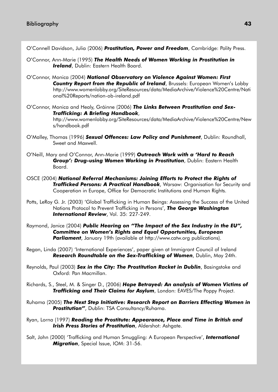O'Connell Davidson, Julia (2006) *Prostitution, Power and Freedom*, Cambridge: Polity Press.

- O'Connor, Ann-Marie (1995) *The Health Needs of Women Working in Prostitution in Ireland*, Dublin: Eastern Health Board.
- O'Connor, Monica (2004) *National Observatory on Violence Against Women: First Country Report from the Republic of Ireland*, Brussels: European Women's Lobby http://www.womenlobby.org/SiteResources/data/MediaArchive/Violence%20Centre/Nati onal%20Reports/nation-ob-ireland.pdf
- O'Connor, Monica and Healy, Gráinne (2006) *The Links Between Prostitution and Sex-Trafficking: A Briefing Handbook*, http://www.womenlobby.org/SiteResources/data/MediaArchive/Violence%20Centre/New s/handbook.pdf
- O'Malley, Thomas (1996) *Sexual Offences: Law Policy and Punishment*, Dublin: Roundhall, Sweet and Maxwell.
- O'Neill, Mary and O'Connor, Ann-Marie (1999) *Outreach Work with a 'Hard to Reach Group': Drug-using Women Working in Prostitution*, Dublin: Eastern Health Board.
- OSCE (2004) *National Referral Mechanisms: Joining Efforts to Protect the Rights of Trafficked Persons: A Practical Handbook*, Warsaw: Organisation for Security and Cooperation in Europe, Office for Democratic Institutions and Human Rights.
- Potts, LeRoy G. Jr. (2003) 'Global Trafficking in Human Beings: Assessing the Success of the United Nations Protocol to Prevent Trafficking in Persons', *The George Washington International Review*, Vol. 35: 227-249.
- Raymond, Janice (2004) *Public Hearing on "The Impact of the Sex Industry in the EU", Committee on Women's Rights and Equal Opportunities, European* **Parliament**, January 19th (available at http://www.catw.org publications).
- Regan, Linda (2007) 'International Experiences', paper given at Immigrant Council of Ireland *Research Roundtable on the Sex-Trafficking of Women*, Dublin, May 24th.
- Reynolds, Paul (2003) *Sex in the City: The Prostitution Racket in Dublin*, Basingstoke and Oxford: Pan Macmillan.
- Richards, S., Steel, M. & Singer D., (2006) *Hope Betrayed: An analysis of Women Victims of Trafficking and Their Claims for Asylum*, London: EAVES/The Poppy Project.
- Ruhama (2005) *The Next Step Initiative: Research Report on Barriers Effecting Women in Prostitution"*, Dublin: TSA Consultancy/Ruhama.
- Ryan, Lorna (1997) *Reading the Prostitute: Appearance, Place and Time in British and Irish Press Stories of Prostitution*, Aldershot: Ashgate.
- Salt, John (2000) 'Trafficking and Human Smuggling: A European Perspective', *International Migration*, Special Issue, IOM: 31-56.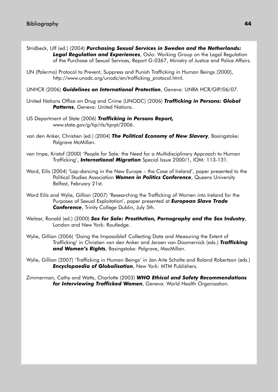- Stridbeck, Ulf (ed.) (2004) *Purchasing Sexual Services in Sweden and the Netherlands: Legal Regulation and Experiences*, Oslo: Working Group on the Legal Regulation of the Purchase of Sexual Services, Report G-0367, Ministry of Justice and Police Affairs.
- UN (Palermo) Protocol to Prevent, Suppress and Punish Trafficking in Human Beings (2000), http://www.unodc.org/unodc/en/trafficking\_protocol.html.
- UNHCR (2006) *Guidelines on International Protection*, Geneva: UNRA HCR/GIP/06/07.
- United Nations Office on Drug and Crime (UNODC) (2006) *Trafficking in Persons: Global* **Patterns**, Geneva: United Nations.
- US Department of State (2006) *Trafficking in Persons Report,* www.state.gov/g/tip/rls/tiprpt/2006.
- van den Anker, Christien (ed.) (2004) *The Political Economy of New Slavery*, Basingstoke: Palgrave McMillan.
- van Impe, Kristof (2000) 'People for Sale: the Need for a Multidisciplinary Approach to Human Trafficking', *International Migration* Special Issue 2000/1, IOM: 113-131.
- Ward, Eilís (2004) 'Lap-dancing in the New Europe the Case of Ireland', paper presented to the Political Studies Association *Women in Politics Conference*, Queens University Belfast, February 21st.
- Ward Eilís and Wylie, Gillian (2007) 'Researching the Trafficking of Women into Ireland for the Purposes of Sexual Exploitation', paper presented at *European Slave Trade Conference*, Trinity College Dublin, July 5th.
- Weitzer, Ronald (ed.) (2000) *Sex for Sale: Prostitution, Pornography and the Sex Industry*, London and New York: Routledge.
- Wylie, Gillian (2006) 'Doing the Impossible? Collecting Data and Measuring the Extent of Trafficking' in Christien van den Anker and Jeroen van Doomernick (eds.) *Trafficking and Women's Rights*, Basingstoke: Palgrave, MacMillan.
- Wylie, Gillian (2007) 'Trafficking in Human Beings' in Jan Arte Scholte and Roland Robertson (eds.) *Encyclopaedia of Globalisation*, New York: MTM Publishers.

Zimmerman, Cathy and Watts, Charlotte (2003) *WHO Ethical and Safety Recommendations for Interviewing Trafficked Women*, Geneva: World Health Organisation.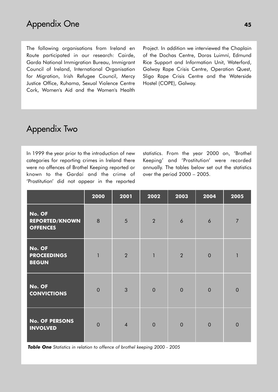The following organisations from Ireland en Route participated in our research: Cairde, Garda National Immigration Bureau, Immigrant Council of Ireland, International Organisation for Migration, Irish Refugee Council, Mercy Justice Office, Ruhama, Sexual Violence Centre Cork, Women's Aid and the Women's Health Project. In addition we interviewed the Chaplain of the Dochas Centre, Doras Luimní, Edmund Rice Support and Information Unit, Waterford, Galway Rape Crisis Centre, Operation Quest, Sligo Rape Crisis Centre and the Waterside Hostel (COPE), Galway.

### Appendix Two

In 1999 the year prior to the introduction of new categories for reporting crimes in Ireland there were no offences of Brothel Keeping reported or known to the Gardaí and the crime of 'Prostitution' did not appear in the reported

statistics. From the year 2000 on, 'Brothel Keeping' and 'Prostitution' were recorded annually. The tables below set out the statistics over the period 2000 – 2005.

|                                                    | 2000           | 2001           | 2002           | 2003           | 2004           | 2005           |
|----------------------------------------------------|----------------|----------------|----------------|----------------|----------------|----------------|
| No. OF<br><b>REPORTED/KNOWN</b><br><b>OFFENCES</b> | 8              | 5              | $\overline{2}$ | 6              | 6              | $\overline{7}$ |
| No. OF<br><b>PROCEEDINGS</b><br><b>BEGUN</b>       | $\mathbf{1}$   | $\overline{2}$ | $\mathbf{1}$   | $\overline{2}$ | $\overline{0}$ | $\overline{1}$ |
| No. OF<br><b>CONVICTIONS</b>                       | $\overline{0}$ | $\overline{3}$ | $\mathbf 0$    | $\overline{0}$ | $\overline{0}$ | $\overline{0}$ |
| <b>No. OF PERSONS</b><br><b>INVOLVED</b>           | $\overline{0}$ | $\overline{4}$ | $\mathbf 0$    | $\overline{0}$ | $\overline{0}$ | $\overline{0}$ |

*Table One Statistics in relation to offence of brothel keeping 2000 - 2005*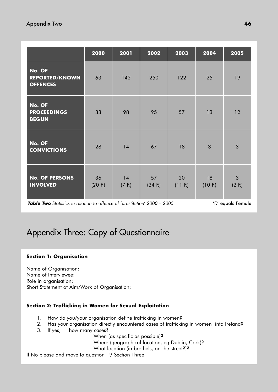|                                                    | 2000          | 2001         | 2002          | 2003                    | 2004          | 2005                        |
|----------------------------------------------------|---------------|--------------|---------------|-------------------------|---------------|-----------------------------|
| No. OF<br><b>REPORTED/KNOWN</b><br><b>OFFENCES</b> | 63            | 142          | 250           | 122                     | 25            | 19                          |
| No. OF<br><b>PROCEEDINGS</b><br><b>BEGUN</b>       | 33            | 98           | 95            | 57                      | 13            | 12                          |
| No. OF<br><b>CONVICTIONS</b>                       | 28            | 14           | 67            | 18                      | 3             | 3                           |
| <b>No. OF PERSONS</b><br><b>INVOLVED</b>           | 36<br>(20 F.) | 14<br>(7 F.) | 57<br>(34 F.) | 20<br>$(11 \text{ F.})$ | 18<br>(10 F.) | $\mathfrak{Z}$<br>$(2)$ F.) |

*Table Two* Statistics in relation to offence of 'prostitution' 2000 – 2005. 'Show the 'F.' equals Female

### Appendix Three: Copy of Questionnaire

### **Section 1: Organisation**

Name of Organisation: Name of Interviewee: Role in organisation: Short Statement of Aim/Work of Organisation:

### **Section 2: Trafficking in Women for Sexual Exploitation**

- 1. How do you/your organisation define trafficking in women?
- 2. Has your organisation directly encountered cases of trafficking in women into Ireland?
- 3. If yes, how many cases?
	- When (as specific as possible)?
	- Where (geographical location, eg Dublin, Cork)?
	- What location (in brothels, on the street?)?

If No please and move to question 19 Section Three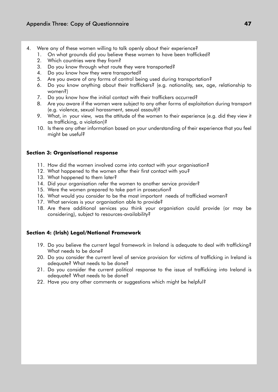- 4. Were any of these women willing to talk openly about their experience?
	- 1. On what grounds did you believe these women to have been trafficked?
		- 2. Which countries were they from?
		- 3. Do you know through what route they were transported?
		- 4. Do you know how they were transported?
		- 5. Are you aware of any forms of control being used during transportation?
		- 6. Do you know anything about their traffickers? (e.g. nationality, sex, age, relationship to women?)
		- 7. Do you know how the initial contact with their traffickers occurred?
		- 8. Are you aware if the women were subject to any other forms of exploitation during transport (e.g. violence, sexual harassment, sexual assault)?
		- 9. What, in your view, was the attitude of the women to their experience (e.g. did they view it as trafficking, a violation)?
		- 10. Is there any other information based on your understanding of their experience that you feel might be useful?

### **Section 3: Organisational response**

- 11. How did the women involved come into contact with your organisation?
- 12. What happened to the women after their first contact with you?
- 13. What happened to them later?
- 14. Did your organisation refer the women to another service provider?
- 15. Were the women prepared to take part in prosecution?
- 16. What would you consider to be the most important needs of trafficked women?
- 17. What services is your organisation able to provide?
- 18. Are there additional services you think your organistion could provide (or may be considering), subject to resources-availability?

### **Section 4: (Irish) Legal/National Framework**

- 19. Do you believe the current legal framework in Ireland is adequate to deal with trafficking? What needs to be done?
- 20. Do you consider the current level of service provision for victims of trafficking in Ireland is adequate? What needs to be done?
- 21. Do you consider the current political response to the issue of trafficking into Ireland is adequate? What needs to be done?
- 22. Have you any other comments or suggestions which might be helpful?